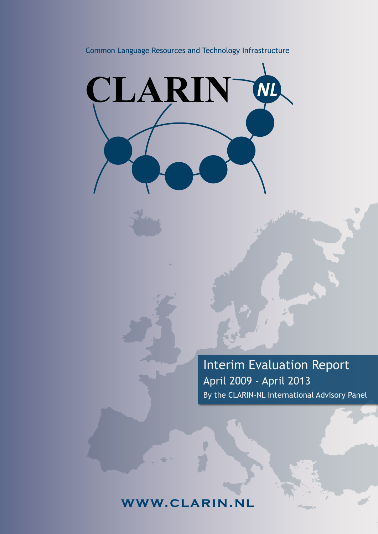### Common Language Resources and Technology Infrastructure



Interim Evaluation Report April 2009 - April 2013 By the CLARIN-NL International Advisory Panel

# **www.clarin .nl**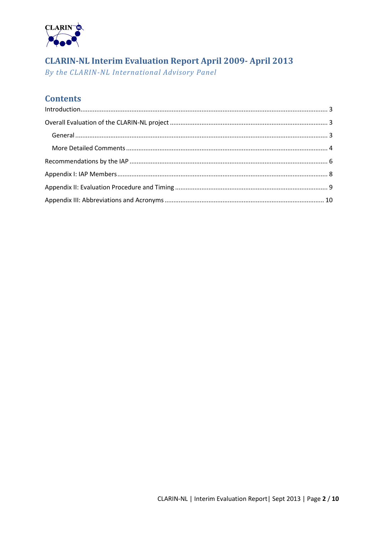

# **CLARIN-NL Interim Evaluation Report April 2009- April 2013**

By the CLARIN-NL International Advisory Panel

## **Contents**

<span id="page-1-0"></span>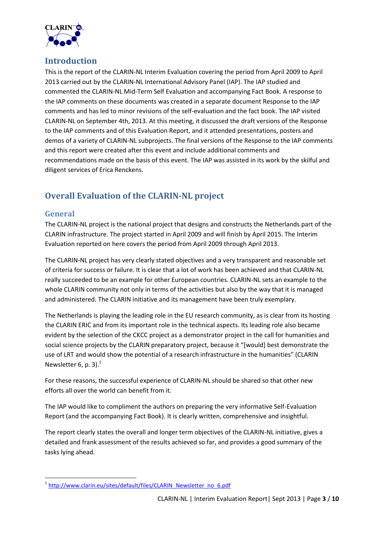

## **Introduction**

This is the report of the CLARIN-NL Interim Evaluation covering the period from April 2009 to April 2013 carried out by the CLARIN-NL International Advisory Panel (IAP). The IAP studied and commented the CLARIN-NL Mid-Term Self Evaluation and accompanying Fact Book. A response to the IAP comments on these documents was created in a separate document Response to the IAP comments and has led to minor revisions of the self-evaluation and the fact book. The IAP visited CLARIN-NL on September 4th, 2013. At this meeting, it discussed the draft versions of the Response to the IAP comments and of this Evaluation Report, and it attended presentations, posters and demos of a variety of CLARIN-NL subprojects. The final versions of the Response to the IAP comments and this report were created after this event and include additional comments and recommendations made on the basis of this event. The IAP was assisted in its work by the skilful and diligent services of Erica Renckens.

## <span id="page-2-0"></span>**Overall Evaluation of the CLARIN-NL project**

#### <span id="page-2-1"></span>**General**

The CLARIN-NL project is the national project that designs and constructs the Netherlands part of the CLARIN infrastructure. The project started in April 2009 and will finish by April 2015. The Interim Evaluation reported on here covers the period from April 2009 through April 2013.

The CLARIN-NL project has very clearly stated objectives and a very transparent and reasonable set of criteria for success or failure. It is clear that a lot of work has been achieved and that CLARIN-NL really succeeded to be an example for other European countries. CLARIN-NL sets an example to the whole CLARIN community not only in terms of the activities but also by the way that it is managed and administered. The CLARIN initiative and its management have been truly exemplary.

The Netherlands is playing the leading role in the EU research community, as is clear from its hosting the CLARIN ERIC and from its important role in the technical aspects. Its leading role also became evident by the selection of the CKCC project as a demonstrator project in the call for humanities and social science projects by the CLARIN preparatory project, because it "[would] best demonstrate the use of LRT and would show the potential of a research infrastructure in the humanities" (CLARIN Newsletter 6, p. 3). $<sup>1</sup>$ </sup>

For these reasons, the successful experience of CLARIN-NL should be shared so that other new efforts all over the world can benefit from it.

The IAP would like to compliment the authors on preparing the very informative Self-Evaluation Report (and the accompanying Fact Book). It is clearly written, comprehensive and insightful.

The report clearly states the overall and longer term objectives of the CLARIN-NL initiative, gives a detailed and frank assessment of the results achieved so far, and provides a good summary of the tasks lying ahead.

nder<br>1 [http://www.clarin.eu/sites/default/files/CLARIN\\_Newsletter\\_no\\_6.pdf](http://www.clarin.eu/sites/default/files/CLARIN_Newsletter_no_6.pdf)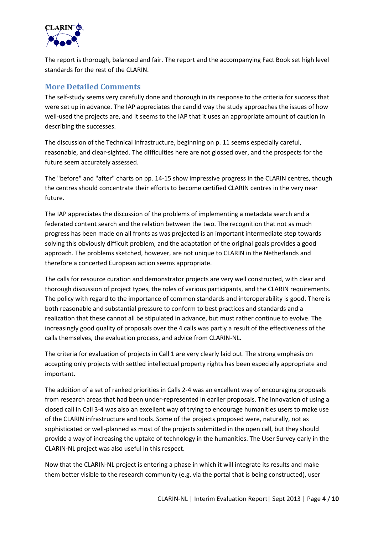

The report is thorough, balanced and fair. The report and the accompanying Fact Book set high level standards for the rest of the CLARIN.

#### <span id="page-3-0"></span>**More Detailed Comments**

The self-study seems very carefully done and thorough in its response to the criteria for success that were set up in advance. The IAP appreciates the candid way the study approaches the issues of how well-used the projects are, and it seems to the IAP that it uses an appropriate amount of caution in describing the successes.

The discussion of the Technical Infrastructure, beginning on p. 11 seems especially careful, reasonable, and clear-sighted. The difficulties here are not glossed over, and the prospects for the future seem accurately assessed.

The "before" and "after" charts on pp. 14-15 show impressive progress in the CLARIN centres, though the centres should concentrate their efforts to become certified CLARIN centres in the very near future.

The IAP appreciates the discussion of the problems of implementing a metadata search and a federated content search and the relation between the two. The recognition that not as much progress has been made on all fronts as was projected is an important intermediate step towards solving this obviously difficult problem, and the adaptation of the original goals provides a good approach. The problems sketched, however, are not unique to CLARIN in the Netherlands and therefore a concerted European action seems appropriate.

The calls for resource curation and demonstrator projects are very well constructed, with clear and thorough discussion of project types, the roles of various participants, and the CLARIN requirements. The policy with regard to the importance of common standards and interoperability is good. There is both reasonable and substantial pressure to conform to best practices and standards and a realization that these cannot all be stipulated in advance, but must rather continue to evolve. The increasingly good quality of proposals over the 4 calls was partly a result of the effectiveness of the calls themselves, the evaluation process, and advice from CLARIN-NL.

The criteria for evaluation of projects in Call 1 are very clearly laid out. The strong emphasis on accepting only projects with settled intellectual property rights has been especially appropriate and important.

The addition of a set of ranked priorities in Calls 2-4 was an excellent way of encouraging proposals from research areas that had been under-represented in earlier proposals. The innovation of using a closed call in Call 3-4 was also an excellent way of trying to encourage humanities users to make use of the CLARIN infrastructure and tools. Some of the projects proposed were, naturally, not as sophisticated or well-planned as most of the projects submitted in the open call, but they should provide a way of increasing the uptake of technology in the humanities. The User Survey early in the CLARIN-NL project was also useful in this respect.

Now that the CLARIN-NL project is entering a phase in which it will integrate its results and make them better visible to the research community (e.g. via the portal that is being constructed), user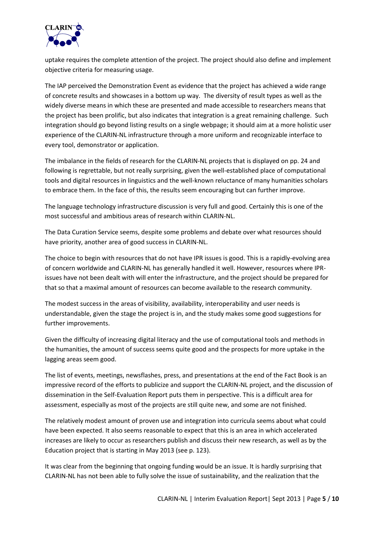

uptake requires the complete attention of the project. The project should also define and implement objective criteria for measuring usage.

The IAP perceived the Demonstration Event as evidence that the project has achieved a wide range of concrete results and showcases in a bottom up way. The diversity of result types as well as the widely diverse means in which these are presented and made accessible to researchers means that the project has been prolific, but also indicates that integration is a great remaining challenge. Such integration should go beyond listing results on a single webpage; it should aim at a more holistic user experience of the CLARIN-NL infrastructure through a more uniform and recognizable interface to every tool, demonstrator or application.

The imbalance in the fields of research for the CLARIN-NL projects that is displayed on pp. 24 and following is regrettable, but not really surprising, given the well-established place of computational tools and digital resources in linguistics and the well-known reluctance of many humanities scholars to embrace them. In the face of this, the results seem encouraging but can further improve.

The language technology infrastructure discussion is very full and good. Certainly this is one of the most successful and ambitious areas of research within CLARIN-NL.

The Data Curation Service seems, despite some problems and debate over what resources should have priority, another area of good success in CLARIN-NL.

The choice to begin with resources that do not have IPR issues is good. This is a rapidly-evolving area of concern worldwide and CLARIN-NL has generally handled it well. However, resources where IPRissues have not been dealt with will enter the infrastructure, and the project should be prepared for that so that a maximal amount of resources can become available to the research community.

The modest success in the areas of visibility, availability, interoperability and user needs is understandable, given the stage the project is in, and the study makes some good suggestions for further improvements.

Given the difficulty of increasing digital literacy and the use of computational tools and methods in the humanities, the amount of success seems quite good and the prospects for more uptake in the lagging areas seem good.

The list of events, meetings, newsflashes, press, and presentations at the end of the Fact Book is an impressive record of the efforts to publicize and support the CLARIN-NL project, and the discussion of dissemination in the Self-Evaluation Report puts them in perspective. This is a difficult area for assessment, especially as most of the projects are still quite new, and some are not finished.

The relatively modest amount of proven use and integration into curricula seems about what could have been expected. It also seems reasonable to expect that this is an area in which accelerated increases are likely to occur as researchers publish and discuss their new research, as well as by the Education project that is starting in May 2013 (see p. 123).

It was clear from the beginning that ongoing funding would be an issue. It is hardly surprising that CLARIN-NL has not been able to fully solve the issue of sustainability, and the realization that the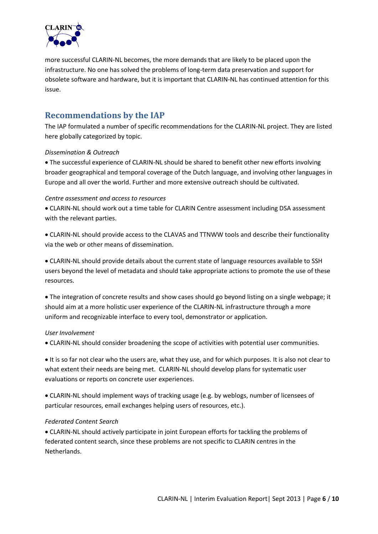

more successful CLARIN-NL becomes, the more demands that are likely to be placed upon the infrastructure. No one has solved the problems of long-term data preservation and support for obsolete software and hardware, but it is important that CLARIN-NL has continued attention for this issue.

### <span id="page-5-0"></span>**Recommendations by the IAP**

The IAP formulated a number of specific recommendations for the CLARIN-NL project. They are listed here globally categorized by topic.

#### *Dissemination & Outreach*

 The successful experience of CLARIN-NL should be shared to benefit other new efforts involving broader geographical and temporal coverage of the Dutch language, and involving other languages in Europe and all over the world. Further and more extensive outreach should be cultivated.

#### *Centre assessment and access to resources*

 CLARIN-NL should work out a time table for CLARIN Centre assessment including DSA assessment with the relevant parties.

 CLARIN-NL should provide access to the CLAVAS and TTNWW tools and describe their functionality via the web or other means of dissemination.

 CLARIN-NL should provide details about the current state of language resources available to SSH users beyond the level of metadata and should take appropriate actions to promote the use of these resources.

 The integration of concrete results and show cases should go beyond listing on a single webpage; it should aim at a more holistic user experience of the CLARIN-NL infrastructure through a more uniform and recognizable interface to every tool, demonstrator or application.

#### *User Involvement*

CLARIN-NL should consider broadening the scope of activities with potential user communities.

It is so far not clear who the users are, what they use, and for which purposes. It is also not clear to what extent their needs are being met. CLARIN-NL should develop plans for systematic user evaluations or reports on concrete user experiences.

 CLARIN-NL should implement ways of tracking usage (e.g. by weblogs, number of licensees of particular resources, email exchanges helping users of resources, etc.).

#### *Federated Content Search*

 CLARIN-NL should actively participate in joint European efforts for tackling the problems of federated content search, since these problems are not specific to CLARIN centres in the Netherlands.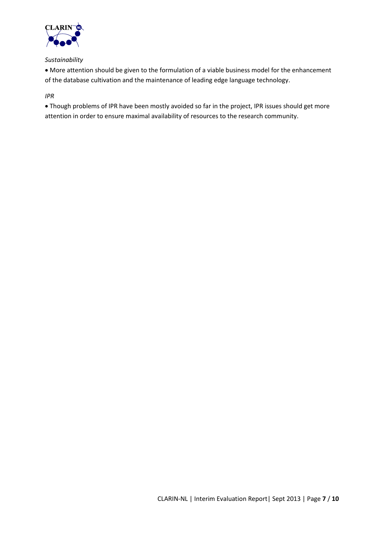

#### *Sustainability*

 More attention should be given to the formulation of a viable business model for the enhancement of the database cultivation and the maintenance of leading edge language technology.

#### *IPR*

 Though problems of IPR have been mostly avoided so far in the project, IPR issues should get more attention in order to ensure maximal availability of resources to the research community.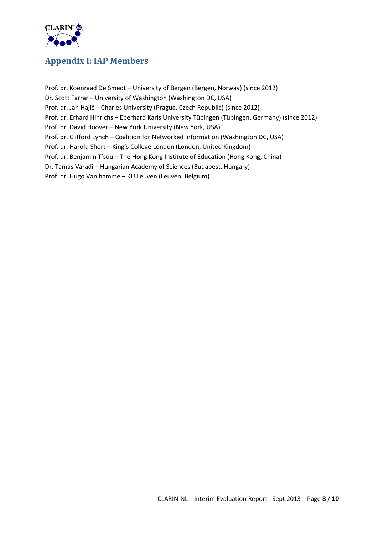

## <span id="page-7-0"></span>**Appendix I: IAP Members**

Prof. dr. Koenraad De Smedt – University of Bergen (Bergen, Norway) (since 2012) Dr. Scott Farrar – University of Washington (Washington DC, USA) Prof. dr. Jan Hajič – Charles University (Prague, Czech Republic) (since 2012) Prof. dr. Erhard Hinrichs – Eberhard Karls University Tübingen (Tübingen, Germany) (since 2012) Prof. dr. David Hoover – New York University (New York, USA) Prof. dr. Clifford Lynch – Coalition for Networked Information (Washington DC, USA) Prof. dr. Harold Short – King's College London (London, United Kingdom) Prof. dr. Benjamin T'sou – The Hong Kong Institute of Education (Hong Kong, China) Dr. Tamás Váradi – Hungarian Academy of Sciences (Budapest, Hungary) Prof. dr. Hugo Van hamme – KU Leuven (Leuven, Belgium)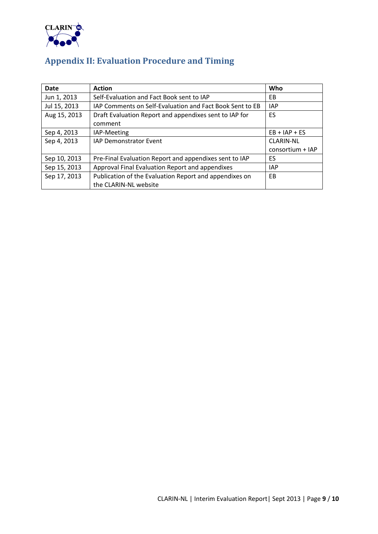

# <span id="page-8-0"></span>**Appendix II: Evaluation Procedure and Timing**

| <b>Date</b>  | <b>Action</b>                                            | Who              |
|--------------|----------------------------------------------------------|------------------|
| Jun 1, 2013  | Self-Evaluation and Fact Book sent to IAP                | EB.              |
| Jul 15, 2013 | IAP Comments on Self-Evaluation and Fact Book Sent to EB | <b>IAP</b>       |
| Aug 15, 2013 | Draft Evaluation Report and appendixes sent to IAP for   | ES               |
|              | comment                                                  |                  |
| Sep 4, 2013  | IAP-Meeting                                              | $EB + IAP + ES$  |
| Sep 4, 2013  | <b>IAP Demonstrator Event</b>                            | <b>CLARIN-NL</b> |
|              |                                                          | consortium + IAP |
| Sep 10, 2013 | Pre-Final Evaluation Report and appendixes sent to IAP   | ES.              |
| Sep 15, 2013 | Approval Final Evaluation Report and appendixes          | <b>IAP</b>       |
| Sep 17, 2013 | Publication of the Evaluation Report and appendixes on   | <b>EB</b>        |
|              | the CLARIN-NL website                                    |                  |